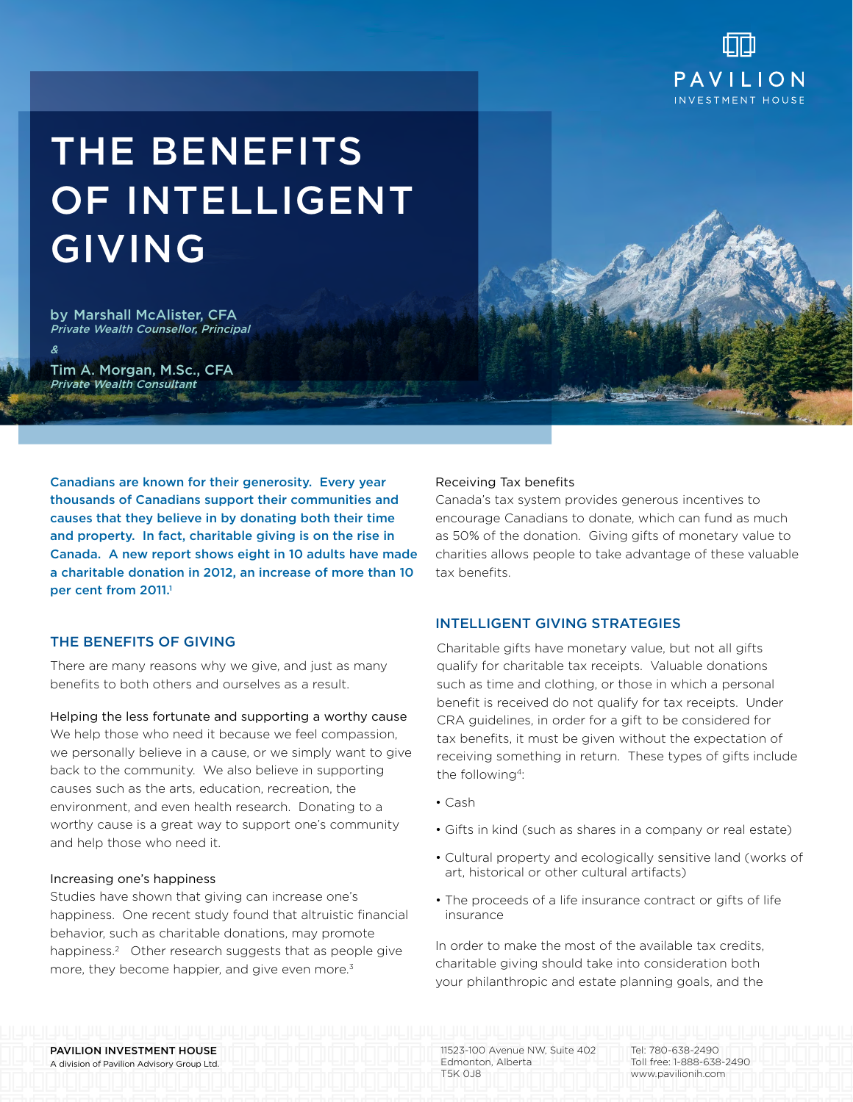

# The Benefits of Intelligent **GIVING**

by Marshall McAlister, CFA Private Wealth Counsellor, Principal

Tim A. Morgan, M.Sc., CFA Private Wealth Consultant

&

Canadians are known for their generosity. Every year thousands of Canadians support their communities and causes that they believe in by donating both their time and property. In fact, charitable giving is on the rise in Canada. A new report shows eight in 10 adults have made a charitable donation in 2012, an increase of more than 10 per cent from 2011.<sup>1</sup>

## THE BENEFITS OF GIVING

There are many reasons why we give, and just as many benefits to both others and ourselves as a result.

### Helping the less fortunate and supporting a worthy cause

We help those who need it because we feel compassion, we personally believe in a cause, or we simply want to give back to the community. We also believe in supporting causes such as the arts, education, recreation, the environment, and even health research. Donating to a worthy cause is a great way to support one's community and help those who need it.

#### Increasing one's happiness

Studies have shown that giving can increase one's happiness. One recent study found that altruistic financial behavior, such as charitable donations, may promote happiness.<sup>2</sup> Other research suggests that as people give more, they become happier, and give even more.<sup>3</sup>

## Receiving Tax benefits

Canada's tax system provides generous incentives to encourage Canadians to donate, which can fund as much as 50% of the donation. Giving gifts of monetary value to charities allows people to take advantage of these valuable tax benefits.

## Intelligent giving strategies

Charitable gifts have monetary value, but not all gifts qualify for charitable tax receipts. Valuable donations such as time and clothing, or those in which a personal benefit is received do not qualify for tax receipts. Under CRA guidelines, in order for a gift to be considered for tax benefits, it must be given without the expectation of receiving something in return. These types of gifts include the following<sup>4</sup>:

• Cash

T5K 0J8

- Gifts in kind (such as shares in a company or real estate)
- Cultural property and ecologically sensitive land (works of art, historical or other cultural artifacts)
- The proceeds of a life insurance contract or gifts of life insurance

In order to make the most of the available tax credits charitable giving should take into consideration both your philanthropic and estate planning goals, and the

PAVILION INVESTMENT HOUSE A division of Pavilion Advisory Group Ltd. 11523-100 Avenue NW, Suite 402 Edmonton, Alberta

Tel: 780-638-2490 Toll free: 1-888-638-2490 www.pavilionih.com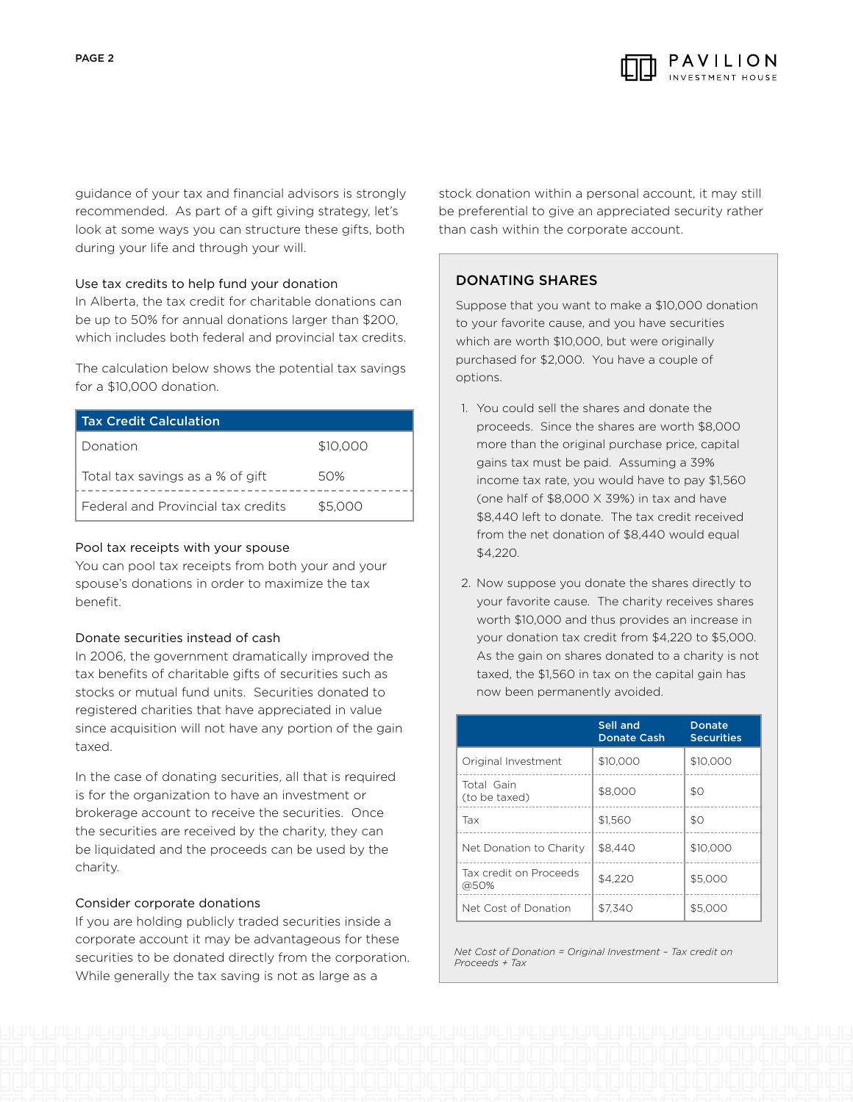

guidance of your tax and financial advisors is strongly recommended. As part of a gift giving strategy, let's look at some ways you can structure these gifts, both during your life and through your will.

## Use tax credits to help fund your donation

In Alberta, the tax credit for charitable donations can be up to 50% for annual donations larger than \$200, which includes both federal and provincial tax credits.

The calculation below shows the potential tax savings for a \$10,000 donation.

| <b>Tax Credit Calculation</b>      |          |
|------------------------------------|----------|
| Donation                           | \$10,000 |
| Total tax savings as a % of gift   | 50%      |
| Federal and Provincial tax credits | \$5.000  |

## Pool tax receipts with your spouse

You can pool tax receipts from both your and your spouse's donations in order to maximize the tax benefit.

#### Donate securities instead of cash

In 2006, the government dramatically improved the tax benefits of charitable gifts of securities such as stocks or mutual fund units. Securities donated to registered charities that have appreciated in value since acquisition will not have any portion of the gain taxed.

In the case of donating securities, all that is required is for the organization to have an investment or brokerage account to receive the securities. Once the securities are received by the charity, they can be liquidated and the proceeds can be used by the charity.

## Consider corporate donations

If you are holding publicly traded securities inside a corporate account it may be advantageous for these securities to be donated directly from the corporation. While generally the tax saving is not as large as a

stock donation within a personal account, it may still be preferential to give an appreciated security rather than cash within the corporate account.

## Donating shares

Suppose that you want to make a \$10,000 donation to your favorite cause, and you have securities which are worth \$10,000, but were originally purchased for \$2,000. You have a couple of options.

- 1. You could sell the shares and donate the proceeds. Since the shares are worth \$8,000 more than the original purchase price, capital gains tax must be paid. Assuming a 39% income tax rate, you would have to pay \$1,560 (one half of \$8,000 X 39%) in tax and have \$8,440 left to donate. The tax credit received from the net donation of \$8,440 would equal \$4,220.
- 2. Now suppose you donate the shares directly to your favorite cause. The charity receives shares worth \$10,000 and thus provides an increase in your donation tax credit from \$4,220 to \$5,000. As the gain on shares donated to a charity is not taxed, the \$1,560 in tax on the capital gain has now been permanently avoided.

|                                | Sell and<br><b>Donate Cash</b> | Donate<br><b>Securities</b> |
|--------------------------------|--------------------------------|-----------------------------|
| Original Investment            | \$10,000                       | \$10,000                    |
| Total Gain<br>(to be taxed)    | \$8,000                        | \$O                         |
| Tax                            | \$1.560                        | \$O                         |
| Net Donation to Charity        | \$8.440                        | \$10,000                    |
| Tax credit on Proceeds<br>@50% | \$4.220                        | \$5,000                     |
| Net Cost of Donation           | \$7.340                        | \$5,000                     |

*Net Cost of Donation = Original Investment – Tax credit on Proceeds + Tax*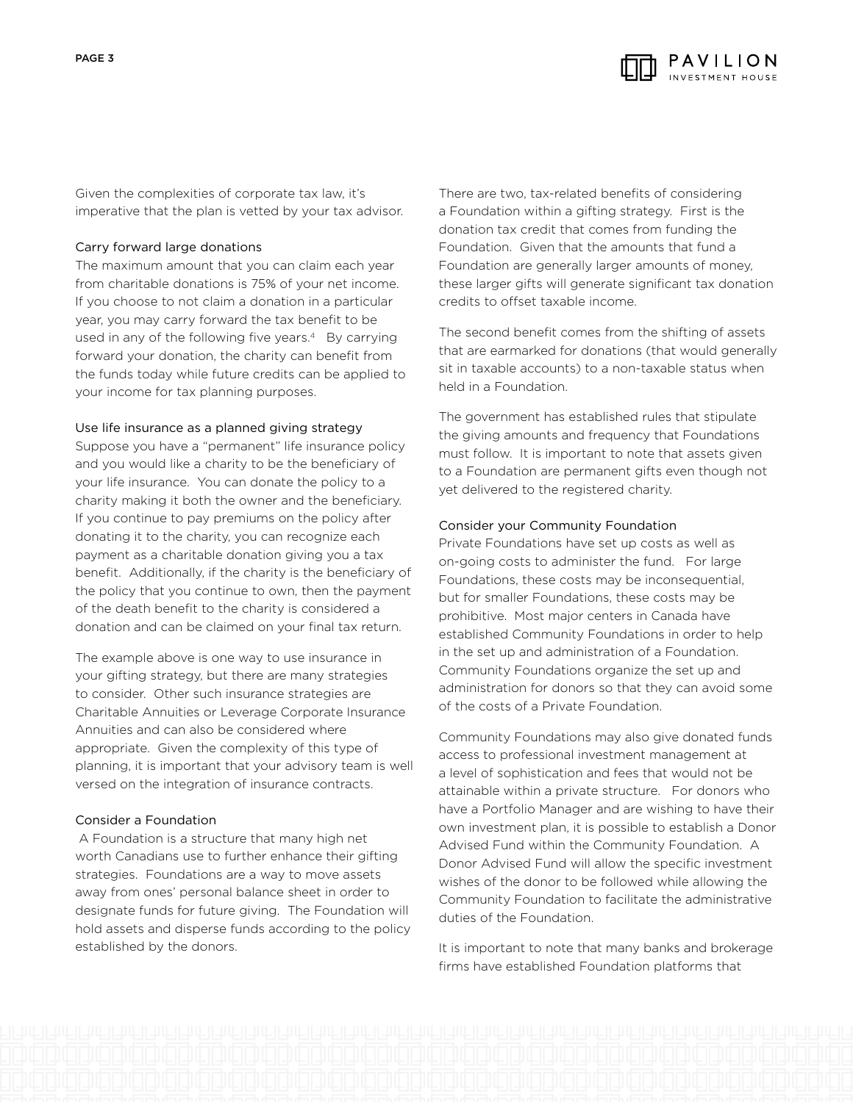

Given the complexities of corporate tax law, it's imperative that the plan is vetted by your tax advisor.

### Carry forward large donations

The maximum amount that you can claim each year from charitable donations is 75% of your net income. If you choose to not claim a donation in a particular year, you may carry forward the tax benefit to be used in any of the following five years.<sup>4</sup> By carrying forward your donation, the charity can benefit from the funds today while future credits can be applied to your income for tax planning purposes.

## Use life insurance as a planned giving strategy

Suppose you have a "permanent" life insurance policy and you would like a charity to be the beneficiary of your life insurance. You can donate the policy to a charity making it both the owner and the beneficiary. If you continue to pay premiums on the policy after donating it to the charity, you can recognize each payment as a charitable donation giving you a tax benefit. Additionally, if the charity is the beneficiary of the policy that you continue to own, then the payment of the death benefit to the charity is considered a donation and can be claimed on your final tax return.

The example above is one way to use insurance in your gifting strategy, but there are many strategies to consider. Other such insurance strategies are Charitable Annuities or Leverage Corporate Insurance Annuities and can also be considered where appropriate. Given the complexity of this type of planning, it is important that your advisory team is well versed on the integration of insurance contracts.

### Consider a Foundation

 A Foundation is a structure that many high net worth Canadians use to further enhance their gifting strategies. Foundations are a way to move assets away from ones' personal balance sheet in order to designate funds for future giving. The Foundation will hold assets and disperse funds according to the policy established by the donors.

There are two, tax-related benefits of considering a Foundation within a gifting strategy. First is the donation tax credit that comes from funding the Foundation. Given that the amounts that fund a Foundation are generally larger amounts of money, these larger gifts will generate significant tax donation credits to offset taxable income.

The second benefit comes from the shifting of assets that are earmarked for donations (that would generally sit in taxable accounts) to a non-taxable status when held in a Foundation.

The government has established rules that stipulate the giving amounts and frequency that Foundations must follow. It is important to note that assets given to a Foundation are permanent gifts even though not yet delivered to the registered charity.

#### Consider your Community Foundation

Private Foundations have set up costs as well as on-going costs to administer the fund. For large Foundations, these costs may be inconsequential, but for smaller Foundations, these costs may be prohibitive. Most major centers in Canada have established Community Foundations in order to help in the set up and administration of a Foundation. Community Foundations organize the set up and administration for donors so that they can avoid some of the costs of a Private Foundation.

Community Foundations may also give donated funds access to professional investment management at a level of sophistication and fees that would not be attainable within a private structure. For donors who have a Portfolio Manager and are wishing to have their own investment plan, it is possible to establish a Donor Advised Fund within the Community Foundation. A Donor Advised Fund will allow the specific investment wishes of the donor to be followed while allowing the Community Foundation to facilitate the administrative duties of the Foundation.

It is important to note that many banks and brokerage firms have established Foundation platforms that